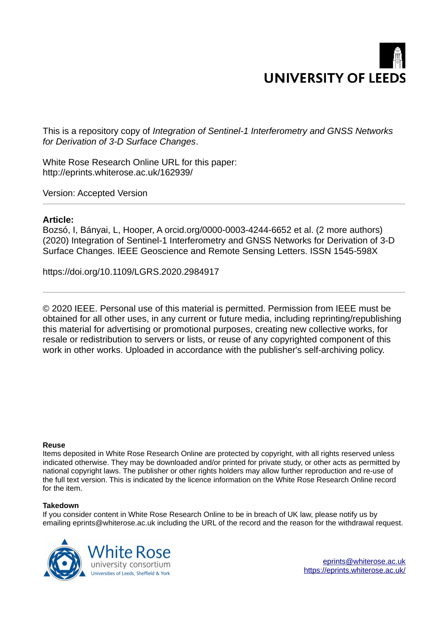# **UNIVERSITY OF LEED**

This is a repository copy of *Integration of Sentinel-1 Interferometry and GNSS Networks for Derivation of 3-D Surface Changes*.

White Rose Research Online URL for this paper: http://eprints.whiterose.ac.uk/162939/

Version: Accepted Version

# **Article:**

Bozsó, I, Bányai, L, Hooper, A orcid.org/0000-0003-4244-6652 et al. (2 more authors) (2020) Integration of Sentinel-1 Interferometry and GNSS Networks for Derivation of 3-D Surface Changes. IEEE Geoscience and Remote Sensing Letters. ISSN 1545-598X

https://doi.org/10.1109/LGRS.2020.2984917

© 2020 IEEE. Personal use of this material is permitted. Permission from IEEE must be obtained for all other uses, in any current or future media, including reprinting/republishing this material for advertising or promotional purposes, creating new collective works, for resale or redistribution to servers or lists, or reuse of any copyrighted component of this work in other works. Uploaded in accordance with the publisher's self-archiving policy.

## **Reuse**

Items deposited in White Rose Research Online are protected by copyright, with all rights reserved unless indicated otherwise. They may be downloaded and/or printed for private study, or other acts as permitted by national copyright laws. The publisher or other rights holders may allow further reproduction and re-use of the full text version. This is indicated by the licence information on the White Rose Research Online record for the item.

## **Takedown**

If you consider content in White Rose Research Online to be in breach of UK law, please notify us by emailing eprints@whiterose.ac.uk including the URL of the record and the reason for the withdrawal request.

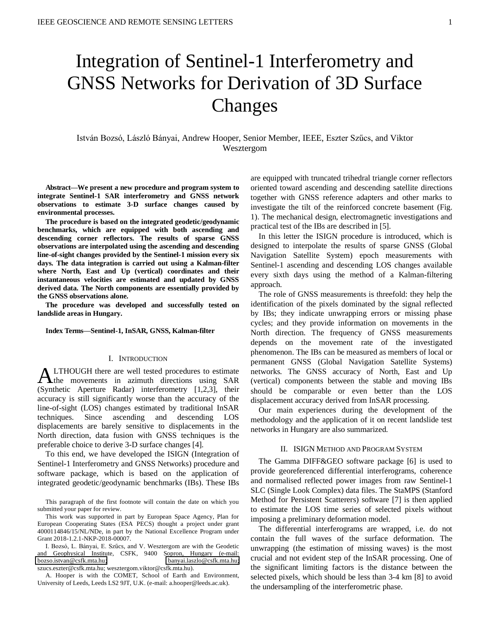# Integration of Sentinel-1 Interferometry and GNSS Networks for Derivation of 3D Surface Changes

István Bozsó, László Bányai, Andrew Hooper, Senior Member, IEEE, Eszter Szűcs, and Viktor Wesztergom

**Abstract—We present a new procedure and program system to integrate Sentinel-1 SAR interferometry and GNSS network observations to estimate 3-D surface changes caused by environmental processes.** 

**The procedure is based on the integrated geodetic/geodynamic benchmarks, which are equipped with both ascending and descending corner reflectors. The results of sparse GNSS observations are interpolated using the ascending and descending line-of-sight changes provided by the Sentinel-1 mission every six days. The data integration is carried out using a Kalman-filter where North, East and Up (vertical) coordinates and their instantaneous velocities are estimated and updated by GNSS derived data. The North components are essentially provided by the GNSS observations alone.** 

**The procedure was developed and successfully tested on landslide areas in Hungary.** 

#### **Index Terms—Sentinel-1, InSAR, GNSS, Kalman-filter**

#### I. INTRODUCTION

LTHOUGH there are well tested procedures to estimate **ALTHOUGH** there are well tested procedures to estimate movements in azimuth directions using SAR (Synthetic Aperture Radar) interferometry [1,2,3], their accuracy is still significantly worse than the accuracy of the line-of-sight (LOS) changes estimated by traditional InSAR techniques. Since ascending and descending LOS displacements are barely sensitive to displacements in the North direction, data fusion with GNSS techniques is the preferable choice to derive 3-D surface changes [4].

To this end, we have developed the ISIGN (Integration of Sentinel-1 Interferometry and GNSS Networks) procedure and software package, which is based on the application of integrated geodetic/geodynamic benchmarks (IBs). These IBs

This paragraph of the first footnote will contain the date on which you submitted your paper for review.

This work was supported in part by European Space Agency, Plan for European Cooperating States (ESA PECS) thought a project under grant 4000114846/15/NL/NDe, in part by the National Excellence Program under Grant 2018-1.2.1-NKP-2018-00007.

I. Bozsó, L. Bányai, E. Szűcs, and V. Wesztergom are with the Geodetic and Geophysical Institute, CSFK, 9400 Sopron, Hungary (e-mail: [bozso.istvan@csfk.mta.hu;](mailto:bozso.istvan@csfk.mta.hu) [banyai.laszlo@csfk.mta.hu;](mailto:banyai.laszlo@csfk.mta.hu)  szucs.eszter@csfk.mta.hu; wesztergom.viktor@csfk.mta.hu).

A. Hooper is with the COMET, School of Earth and Environment, University of Leeds, Leeds LS2 9JT, U.K. (e-mail: a.hooper@leeds.ac.uk).

are equipped with truncated trihedral triangle corner reflectors oriented toward ascending and descending satellite directions together with GNSS reference adapters and other marks to investigate the tilt of the reinforced concrete basement (Fig. 1). The mechanical design, electromagnetic investigations and practical test of the IBs are described in [5].

In this letter the ISIGN procedure is introduced, which is designed to interpolate the results of sparse GNSS (Global Navigation Satellite System) epoch measurements with Sentinel-1 ascending and descending LOS changes available every sixth days using the method of a Kalman-filtering approach.

The role of GNSS measurements is threefold: they help the identification of the pixels dominated by the signal reflected by IBs; they indicate unwrapping errors or missing phase cycles; and they provide information on movements in the North direction. The frequency of GNSS measurements depends on the movement rate of the investigated phenomenon. The IBs can be measured as members of local or permanent GNSS (Global Navigation Satellite Systems) networks. The GNSS accuracy of North, East and Up (vertical) components between the stable and moving IBs should be comparable or even better than the LOS displacement accuracy derived from InSAR processing.

Our main experiences during the development of the methodology and the application of it on recent landslide test networks in Hungary are also summarized.

#### II. ISIGN METHOD AND PROGRAM SYSTEM

The Gamma DIFF&GEO software package [6] is used to provide georeferenced differential interferograms, coherence and normalised reflected power images from raw Sentinel-1 SLC (Single Look Complex) data files. The StaMPS (Stanford Method for Persistent Scatterers) software [7] is then applied to estimate the LOS time series of selected pixels without imposing a preliminary deformation model.

The differential interferograms are wrapped, i.e. do not contain the full waves of the surface deformation. The unwrapping (the estimation of missing waves) is the most crucial and not evident step of the InSAR processing. One of the significant limiting factors is the distance between the selected pixels, which should be less than 3-4 km [8] to avoid the undersampling of the interferometric phase.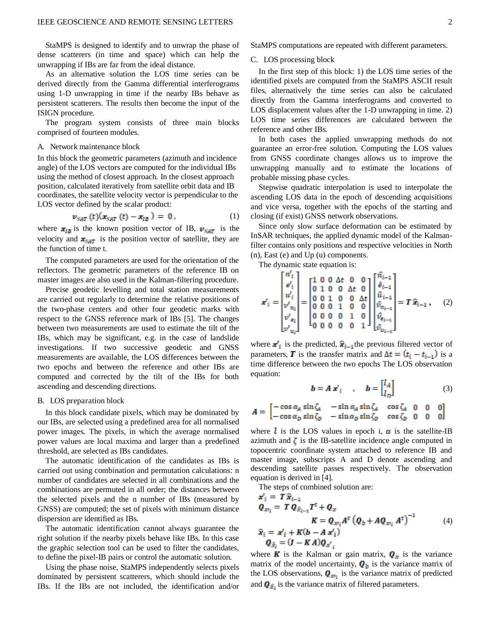StaMPS is designed to identify and to unwrap the phase of dense scatterers (in time and space) which can help the unwrapping if IBs are far from the ideal distance.

As an alternative solution the LOS time series can be derived directly from the Gamma differential interferograms using 1-D unwrapping in time if the nearby IBs behave as persistent scatterers. The results then become the input of the ISIGN procedure.

The program system consists of three main blocks comprised of fourteen modules.

#### A. Network maintenance block

In this block the geometric parameters (azimuth and incidence angle) of the LOS vectors are computed for the individual IBs using the method of closest approach. In the closest approach position, calculated iteratively from satellite orbit data and IB coordinates, the satellite velocity vector is perpendicular to the LOS vector defined by the scalar product:

$$
\mathbf{v}_{SAT}(t)(\mathbf{x}_{SAT}(t) - \mathbf{x}_{IB}) = 0, \qquad (1)
$$

where  $x_{IB}$  is the known position vector of IB,  $v_{SAT}$  is the velocity and  $x_{SAT}$  is the position vector of satellite, they are the function of time t.

The computed parameters are used for the orientation of the reflectors. The geometric parameters of the reference IB on master images are also used in the Kalman-filtering procedure.

Precise geodetic levelling and total station measurements are carried out regularly to determine the relative positions of the two-phase centers and other four geodetic marks with respect to the GNSS reference mark of IBs [5]. The changes between two measurements are used to estimate the tilt of the IBs, which may be significant, e.g. in the case of landslide investigations. If two successive geodetic and GNSS measurements are available, the LOS differences between the two epochs and between the reference and other IBs are computed and corrected by the tilt of the IBs for both ascending and descending directions.

#### B. LOS preparation block

In this block candidate pixels, which may be dominated by our IBs, are selected using a predefined area for all normalised power images. The pixels, in which the average normalised power values are local maxima and larger than a predefined threshold, are selected as IBs candidates.

The automatic identification of the candidates as IBs is carried out using combination and permutation calculations: n number of candidates are selected in all combinations and the combinations are permuted in all order; the distances between the selected pixels and the n number of IBs (measured by GNSS) are computed; the set of pixels with minimum distance dispersion are identified as IBs.

The automatic identification cannot always guarantee the right solution if the nearby pixels behave like IBs. In this case the graphic selection tool can be used to filter the candidates, to define the pixel-IB pairs or control the automatic solution.

Using the phase noise, StaMPS independently selects pixels dominated by persistent scatterers, which should include the IBs. If the IBs are not included, the identification and/or

StaMPS computations are repeated with different parameters.

#### C. LOS processing block

In the first step of this block: 1) the LOS time series of the identified pixels are computed from the StaMPS ASCII result files, alternatively the time series can also be calculated directly from the Gamma interferograms and converted to LOS displacement values after the 1-D unwrapping in time. 2) LOS time series differences are calculated between the reference and other IBs.

In both cases the applied unwrapping methods do not guarantee an error-free solution. Computing the LOS values from GNSS coordinate changes allows us to improve the unwrapping manually and to estimate the locations of probable missing phase cycles.

Stepwise quadratic interpolation is used to interpolate the ascending LOS data in the epoch of descending acquisitions and vice versa, together with the epochs of the starting and closing (if exist) GNSS network observations.

Since only slow surface deformation can be estimated by InSAR techniques, the applied dynamic model of the Kalmanfilter contains only positions and respective velocities in North (n), East (e) and Up (u) components.

The dynamic state equation is:

**,** (2)

where  $\mathbf{x}_i$  is the predicted,  $\hat{\mathbf{x}}_{i-1}$  the previous filtered vector of parameters, **T** is the transfer matrix and  $\Delta t = (t_i - t_{i-1})$  is a time difference between the two epochs The LOS observation equation:

$$
\boldsymbol{b} = \boldsymbol{A} \boldsymbol{x}'_i \qquad, \qquad \boldsymbol{b} = \begin{bmatrix} l_A \\ l_D \end{bmatrix} \tag{3}
$$

$$
A = \begin{bmatrix} -\cos\alpha_A \sin\zeta_A & -\sin\alpha_A \sin\zeta_A & \cos\zeta_A & 0 & 0 & 0 \\ -\cos\alpha_D \sin\zeta_D & -\sin\alpha_D \sin\zeta_D & \cos\zeta_D & 0 & 0 & 0 \end{bmatrix}
$$

where *l* is the LOS values in epoch i,  $\alpha$  is the satellite-IB azimuth and  $\zeta$  is the IB-satellite incidence angle computed in topocentric coordinate system attached to reference IB and master image, subscripts A and D denote ascending and descending satellite passes respectively. The observation equation is derived in [4].

The steps of combined solution are:

$$
\mathbf{x}'_i = T \hat{\mathbf{x}}_{i-1} \n\mathbf{Q}_{\mathbf{x}_i} = T \mathbf{Q}_{\hat{\mathbf{x}}_{i-1}} T^{\mathbf{t}} + \mathbf{Q}_{\mathbf{x}} \n\mathbf{K} = \mathbf{Q}_{\mathbf{x}_i} A^{\mathbf{t}} (\mathbf{Q}_b + A \mathbf{Q}_{\mathbf{x}_i} A^{\mathbf{t}})^{-1} \n\hat{\mathbf{x}}_i = \mathbf{x}'_i + K(b - A \mathbf{x}'_i) \n\mathbf{Q}_{\hat{\mathbf{x}}_i} = (I - K A) \mathbf{Q}_{\mathbf{x}'_i}
$$
\n(4)

where **K** is the Kalman or gain matrix,  $\mathbf{Q}_x$  is the variance matrix of the model uncertainty,  $\boldsymbol{Q}_b$  is the variance matrix of the LOS observations,  $\mathbf{Q}_{x_i}$  is the variance matrix of predicted and  $\mathbf{Q}_{\hat{\mathbf{x}}_i}$  is the variance matrix of filtered parameters.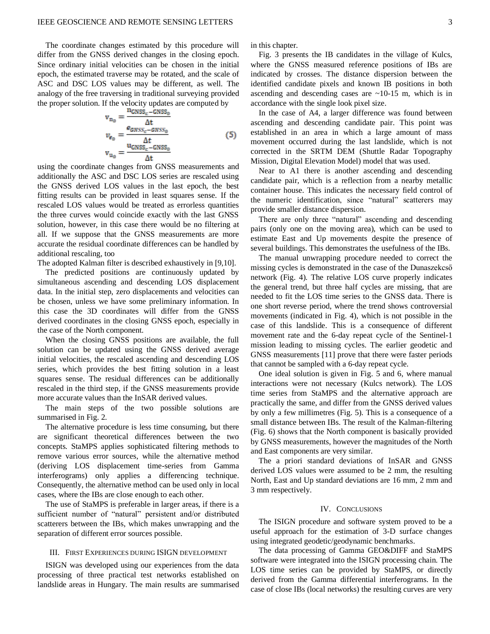The coordinate changes estimated by this procedure will differ from the GNSS derived changes in the closing epoch. Since ordinary initial velocities can be chosen in the initial epoch, the estimated traverse may be rotated, and the scale of ASC and DSC LOS values may be different, as well. The analogy of the free traversing in traditional surveying provided the proper solution. If the velocity updates are computed by

$$
v_{n_0} = \frac{n_{\text{GNSS}_c} - \text{GNSS}_0}{\Delta t}
$$
  
\n
$$
v_{e_0} = \frac{e_{\text{GNSS}_c} - \text{GNSS}_0}{\Delta t}
$$
  
\n
$$
v_{u_0} = \frac{u_{\text{GNSS}_c} - \text{GNSS}_0}{\Delta t}
$$
  
\n(5)

using the coordinate changes from GNSS measurements and additionally the ASC and DSC LOS series are rescaled using the GNSS derived LOS values in the last epoch, the best fitting results can be provided in least squares sense. If the rescaled LOS values would be treated as errorless quantities the three curves would coincide exactly with the last GNSS solution, however, in this case there would be no filtering at all. If we suppose that the GNSS measurements are more accurate the residual coordinate differences can be handled by additional rescaling, too

The adopted Kalman filter is described exhaustively in [9,10].

The predicted positions are continuously updated by simultaneous ascending and descending LOS displacement data. In the initial step, zero displacements and velocities can be chosen, unless we have some preliminary information. In this case the 3D coordinates will differ from the GNSS derived coordinates in the closing GNSS epoch, especially in the case of the North component.

When the closing GNSS positions are available, the full solution can be updated using the GNSS derived average initial velocities, the rescaled ascending and descending LOS series, which provides the best fitting solution in a least squares sense. The residual differences can be additionally rescaled in the third step, if the GNSS measurements provide more accurate values than the InSAR derived values.

The main steps of the two possible solutions are summarised in Fig. 2.

The alternative procedure is less time consuming, but there are significant theoretical differences between the two concepts. StaMPS applies sophisticated filtering methods to remove various error sources, while the alternative method (deriving LOS displacement time-series from Gamma interferograms) only applies a differencing technique. Consequently, the alternative method can be used only in local cases, where the IBs are close enough to each other.

The use of StaMPS is preferable in larger areas, if there is a sufficient number of "natural" persistent and/or distributed scatterers between the IBs, which makes unwrapping and the separation of different error sources possible.

#### III. FIRST EXPERIENCES DURING ISIGN DEVELOPMENT

ISIGN was developed using our experiences from the data processing of three practical test networks established on landslide areas in Hungary. The main results are summarised in this chapter.

Fig. 3 presents the IB candidates in the village of Kulcs, where the GNSS measured reference positions of IBs are indicated by crosses. The distance dispersion between the identified candidate pixels and known IB positions in both ascending and descending cases are  $\sim$ 10-15 m, which is in accordance with the single look pixel size.

In the case of A4, a larger difference was found between ascending and descending candidate pair. This point was established in an area in which a large amount of mass movement occurred during the last landslide, which is not corrected in the SRTM DEM (Shuttle Radar Topography Mission, Digital Elevation Model) model that was used.

Near to A1 there is another ascending and descending candidate pair, which is a reflection from a nearby metallic container house. This indicates the necessary field control of the numeric identification, since "natural" scatterers may provide smaller distance dispersion.

There are only three "natural" ascending and descending pairs (only one on the moving area), which can be used to estimate East and Up movements despite the presence of several buildings. This demonstrates the usefulness of the IBs.

The manual unwrapping procedure needed to correct the missing cycles is demonstrated in the case of the Dunaszekcső network (Fig. 4). The relative LOS curve properly indicates the general trend, but three half cycles are missing, that are needed to fit the LOS time series to the GNSS data. There is one short reverse period, where the trend shows controversial movements (indicated in Fig. 4), which is not possible in the case of this landslide. This is a consequence of different movement rate and the 6-day repeat cycle of the Sentinel-1 mission leading to missing cycles. The earlier geodetic and GNSS measurements [11] prove that there were faster periods that cannot be sampled with a 6-day repeat cycle.

One ideal solution is given in Fig. 5 and 6, where manual interactions were not necessary (Kulcs network). The LOS time series from StaMPS and the alternative approach are practically the same, and differ from the GNSS derived values by only a few millimetres (Fig. 5). This is a consequence of a small distance between IBs. The result of the Kalman-filtering (Fig. 6) shows that the North component is basically provided by GNSS measurements, however the magnitudes of the North and East components are very similar.

The a priori standard deviations of InSAR and GNSS derived LOS values were assumed to be 2 mm, the resulting North, East and Up standard deviations are 16 mm, 2 mm and 3 mm respectively.

#### IV. CONCLUSIONS

The ISIGN procedure and software system proved to be a useful approach for the estimation of 3-D surface changes using integrated geodetic/geodynamic benchmarks.

The data processing of Gamma GEO&DIFF and StaMPS software were integrated into the ISIGN processing chain. The LOS time series can be provided by StaMPS, or directly derived from the Gamma differential interferograms. In the case of close IBs (local networks) the resulting curves are very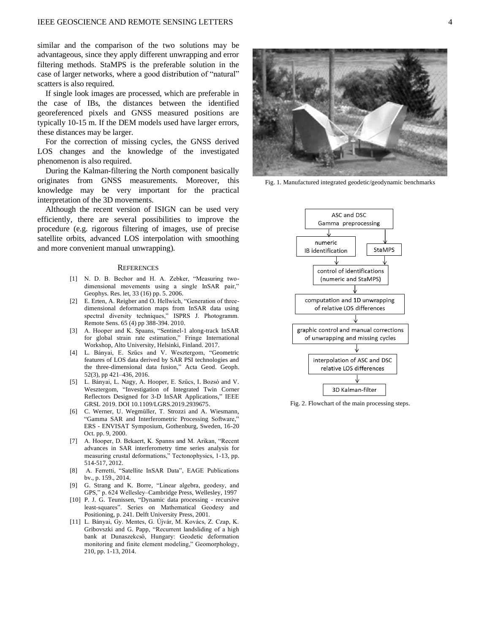similar and the comparison of the two solutions may be advantageous, since they apply different unwrapping and error filtering methods. StaMPS is the preferable solution in the case of larger networks, where a good distribution of "natural" scatters is also required.

If single look images are processed, which are preferable in the case of IBs, the distances between the identified georeferenced pixels and GNSS measured positions are typically 10-15 m. If the DEM models used have larger errors, these distances may be larger.

For the correction of missing cycles, the GNSS derived LOS changes and the knowledge of the investigated phenomenon is also required.

During the Kalman-filtering the North component basically originates from GNSS measurements. Moreover, this knowledge may be very important for the practical interpretation of the 3D movements.

Although the recent version of ISIGN can be used very efficiently, there are several possibilities to improve the procedure (e.g. rigorous filtering of images, use of precise satellite orbits, advanced LOS interpolation with smoothing and more convenient manual unwrapping).

#### **REFERENCES**

- [1] N. D. B. Bechor and H. A. Zebker, "Measuring twodimensional movements using a single InSAR pair," Geophys. Res. let, 33 (16) pp. 5. 2006.
- [2] E. Erten, A. Reigber and O. Hellwich, "Generation of threedimensional deformation maps from InSAR data using spectral diversity techniques," ISPRS J. Photogramm. Remote Sens. 65 (4) pp 388-394. 2010.
- [3] A. Hooper and K. Spaans, "Sentinel-1 along-track InSAR for global strain rate estimation," Fringe International Workshop, Alto University, Helsinki, Finland. 2017.
- [4] L. Bányai, E. Szűcs and V. Wesztergom, "Geometric features of LOS data derived by SAR PSI technologies and the three-dimensional data fusion," Acta Geod. Geoph. 52(3), pp 421–436, 2016.
- [5] L. Bányai, L. Nagy, A. Hooper, E. Szűcs, I. Bozsó and V. Wesztergom, "Investigation of Integrated Twin Corner Reflectors Designed for 3-D InSAR Applications," IEEE GRSL 2019. DOI 10.1109/LGRS.2019.2939675.
- [6] C. Werner, U. Wegmüller, T. Strozzi and A. Wiesmann, "Gamma SAR and Interferometric Processing Software," ERS - ENVISAT Symposium, Gothenburg, Sweden, 16-20 Oct. pp. 9, 2000.
- [7] A. Hooper, D. Bekaert, K. Spanns and M. Arikan, "Recent advances in SAR interferometry time series analysis for measuring crustal deformations," Tectonophysics, 1-13, pp. 514-517, 2012.
- [8] A. Ferretti, "Satellite InSAR Data", EAGE Publications bv., p. 159., 2014.
- [9] G. Strang and K. Borre, "Linear algebra, geodesy, and GPS," p. 624 Wellesley–Cambridge Press, Wellesley, 1997
- [10] P. J. G. Teunissen, "Dynamic data processing recursive least-squares". Series on Mathematical Geodesy and Positioning, p. 241. Delft University Press, 2001.
- [11] L. Bányai, Gy. Mentes, G. Újvár, M. Kovács, Z. Czap, K. Gribovszki and G. Papp, "Recurrent landsliding of a high bank at Dunaszekcső, Hungary: Geodetic deformation monitoring and finite element modeling," Geomorphology, 210, pp. 1-13, 2014.



Fig. 1. Manufactured integrated geodetic/geodynamic benchmarks



Fig. 2. Flowchart of the main processing steps.